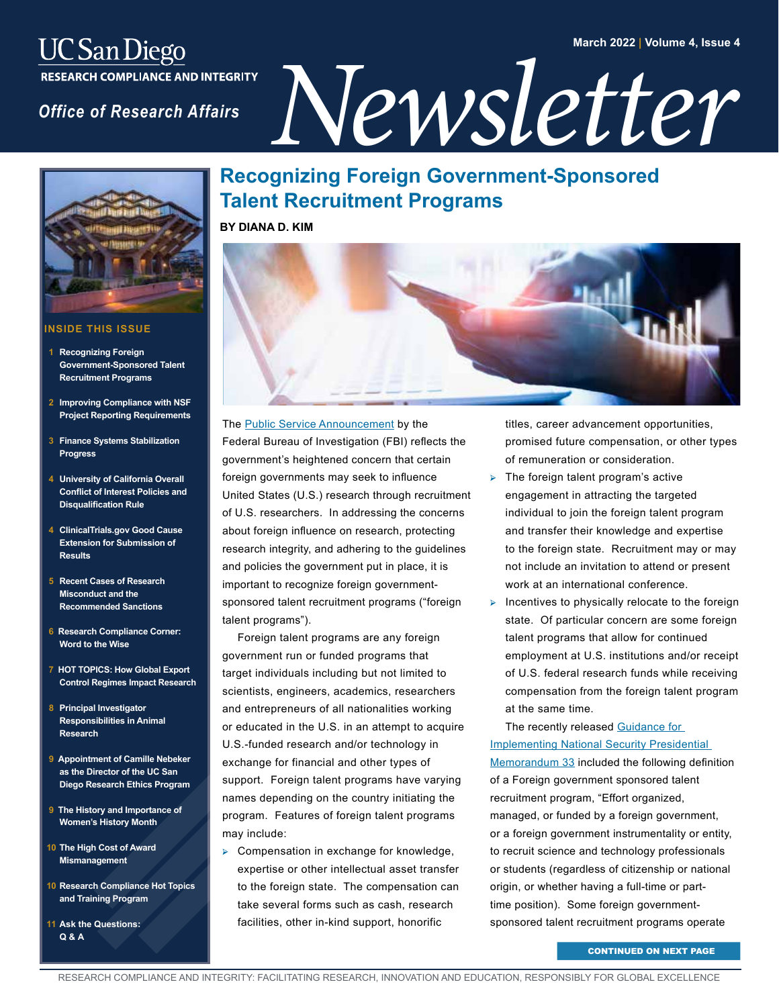### **March 2022 | Volume 4, Issue 4**

# *UC San Diego<br>
RESEARCH COMPLIANCE AND INTEGRITY<br>
Office of Research Affairs<br> NewSLETTEPT*



### **INSIDE THIS ISSUE**

- **Recognizing Foreign Government-Sponsored Talent Recruitment Programs**
- **Improving Compliance with NSF Project Reporting Requirements**
- **[3 Finance Systems Stabilization](#page-2-0)  Progress**
- **University of California Overall [Conflict of Interest Policies and](#page-3-0)  Disqualification Rule**
- **4 ClinicalTrials.gov Good Cause [Extension for Submission of](#page-3-0)  Results**
- **[5 Recent Cases of Research](#page-4-0)  Misconduct and the Recommended Sanctions**
- **[6 Research Compliance Corner:](#page-5-0)  Word to the Wise**
- **[7 HOT TOPICS: How Global Export](#page-6-0)  Control Regimes Impact Research**
- **8 Principal Investigator [Responsibilities in Animal](#page-7-0)  Research**
- **[9 Appointment of Camille Nebeker](#page-8-0)  as the Director of the UC San Diego Research Ethics Program**
- **[9 The History and Importance of](#page-8-0)  Women's History Month**
- **[10 The High Cost of Award](#page-9-0)  Mismanagement**
- **[10 Research Compliance Hot Topics](#page-9-0)  and Training Program**
- **[11 Ask the Questions:](#page-10-0)  Q & A**

# **Recognizing Foreign Government-Sponsored Talent Recruitment Programs**

**BY DIANA D. KIM**



The **Public Service Announcement** by the Federal Bureau of Investigation (FBI) reflects the government's heightened concern that certain foreign governments may seek to influence United States (U.S.) research through recruitment of U.S. researchers. In addressing the concerns about foreign influence on research, protecting research integrity, and adhering to the guidelines and policies the government put in place, it is important to recognize foreign governmentsponsored talent recruitment programs ("foreign talent programs").

Foreign talent programs are any foreign government run or funded programs that target individuals including but not limited to scientists, engineers, academics, researchers and entrepreneurs of all nationalities working or educated in the U.S. in an attempt to acquire U.S.-funded research and/or technology in exchange for financial and other types of support. Foreign talent programs have varying names depending on the country initiating the program. Features of foreign talent programs may include:

➢ Compensation in exchange for knowledge, expertise or other intellectual asset transfer to the foreign state. The compensation can take several forms such as cash, research facilities, other in-kind support, honorific

titles, career advancement opportunities, promised future compensation, or other types of remuneration or consideration.

- $\triangleright$  The foreign talent program's active engagement in attracting the targeted individual to join the foreign talent program and transfer their knowledge and expertise to the foreign state. Recruitment may or may not include an invitation to attend or present work at an international conference.
- $\triangleright$  Incentives to physically relocate to the foreign state. Of particular concern are some foreign talent programs that allow for continued employment at U.S. institutions and/or receipt of U.S. federal research funds while receiving compensation from the foreign talent program at the same time.

The recently released Guidance for [Implementing National Security Presidential](https://www.whitehouse.gov/wp-content/uploads/2022/01/010422-NSPM-33-Implementation-Guidance.pdf?utm_medium=email&utm_source=FYI&dm_i=1ZJN,7OKSB,DH1H5,VB5UF,1)  [Memorandum 33](https://www.whitehouse.gov/wp-content/uploads/2022/01/010422-NSPM-33-Implementation-Guidance.pdf?utm_medium=email&utm_source=FYI&dm_i=1ZJN,7OKSB,DH1H5,VB5UF,1) included the following definition of a Foreign government sponsored talent recruitment program, "Effort organized, managed, or funded by a foreign government, or a foreign government instrumentality or entity, to recruit science and technology professionals or students (regardless of citizenship or national origin, or whether having a full-time or parttime position). Some foreign governmentsponsored talent recruitment programs operate

CONTINUED ON NEXT PAGE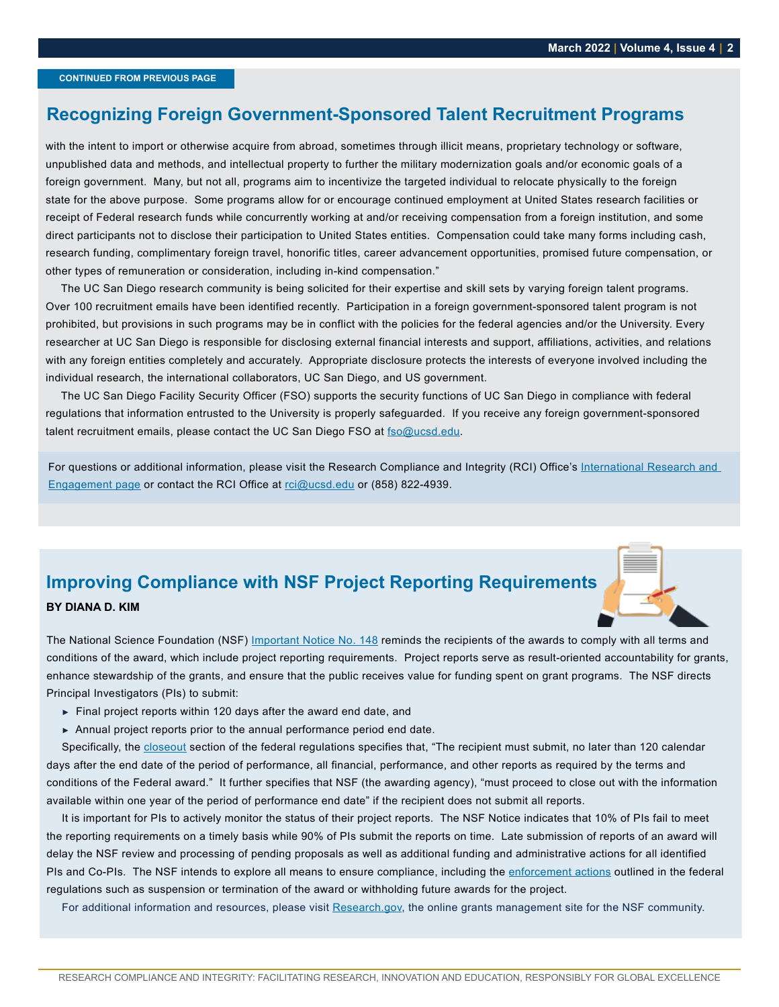### <span id="page-1-0"></span>**Recognizing Foreign Government-Sponsored Talent Recruitment Programs**

with the intent to import or otherwise acquire from abroad, sometimes through illicit means, proprietary technology or software, unpublished data and methods, and intellectual property to further the military modernization goals and/or economic goals of a foreign government. Many, but not all, programs aim to incentivize the targeted individual to relocate physically to the foreign state for the above purpose. Some programs allow for or encourage continued employment at United States research facilities or receipt of Federal research funds while concurrently working at and/or receiving compensation from a foreign institution, and some direct participants not to disclose their participation to United States entities. Compensation could take many forms including cash, research funding, complimentary foreign travel, honorific titles, career advancement opportunities, promised future compensation, or other types of remuneration or consideration, including in-kind compensation."

The UC San Diego research community is being solicited for their expertise and skill sets by varying foreign talent programs. Over 100 recruitment emails have been identified recently. Participation in a foreign government-sponsored talent program is not prohibited, but provisions in such programs may be in conflict with the policies for the federal agencies and/or the University. Every researcher at UC San Diego is responsible for disclosing external financial interests and support, affiliations, activities, and relations with any foreign entities completely and accurately. Appropriate disclosure protects the interests of everyone involved including the individual research, the international collaborators, UC San Diego, and US government.

The UC San Diego Facility Security Officer (FSO) supports the security functions of UC San Diego in compliance with federal regulations that information entrusted to the University is properly safeguarded. If you receive any foreign government-sponsored talent recruitment emails, please contact the UC San Diego FSO at [fso@ucsd.edu.](mailto:fso%40ucsd.edu?subject=)

For questions or additional information, please visit the Research Compliance and Integrity (RCI) Office's International Research and [Engagement page](https://blink.ucsd.edu/research/conducting-research/international-research.html) or contact the RCI Office at [rci@ucsd.edu](mailto:rci%40ucsd.edu?subject=) or (858) 822-4939.

# **Improving Compliance with NSF Project Reporting Requirements BY DIANA D. KIM**

The National Science Foundation (NSF) [Important Notice No. 148](https://www.nsf.gov/pubs/issuances/in148.pdf) reminds the recipients of the awards to comply with all terms and conditions of the award, which include project reporting requirements. Project reports serve as result-oriented accountability for grants, enhance stewardship of the grants, and ensure that the public receives value for funding spent on grant programs. The NSF directs Principal Investigators (PIs) to submit:

- **►** Final project reports within 120 days after the award end date, and
- **►** Annual project reports prior to the annual performance period end date.

Specifically, the [closeout](https://www.ecfr.gov/current/title-2/subtitle-A/chapter-II/part-200/subpart-D/subject-group-ECFR682eb6fbfabcde2/section-200.344) section of the federal regulations specifies that, "The recipient must submit, no later than 120 calendar days after the end date of the period of performance, all financial, performance, and other reports as required by the terms and conditions of the Federal award." It further specifies that NSF (the awarding agency), "must proceed to close out with the information available within one year of the period of performance end date" if the recipient does not submit all reports.

It is important for PIs to actively monitor the status of their project reports. The NSF Notice indicates that 10% of PIs fail to meet the reporting requirements on a timely basis while 90% of PIs submit the reports on time. Late submission of reports of an award will delay the NSF review and processing of pending proposals as well as additional funding and administrative actions for all identified PIs and Co-PIs. The NSF intends to explore all means to ensure compliance, including the [enforcement actions](https://www.ecfr.gov/current/title-2/subtitle-A/chapter-II/part-200/subpart-D/subject-group-ECFR86b76dde0e1e9dc/section-200.339) outlined in the federal regulations such as suspension or termination of the award or withholding future awards for the project.

For additional information and resources, please visit [Research.gov,](https://www.research.gov/research-web/) the online grants management site for the NSF community.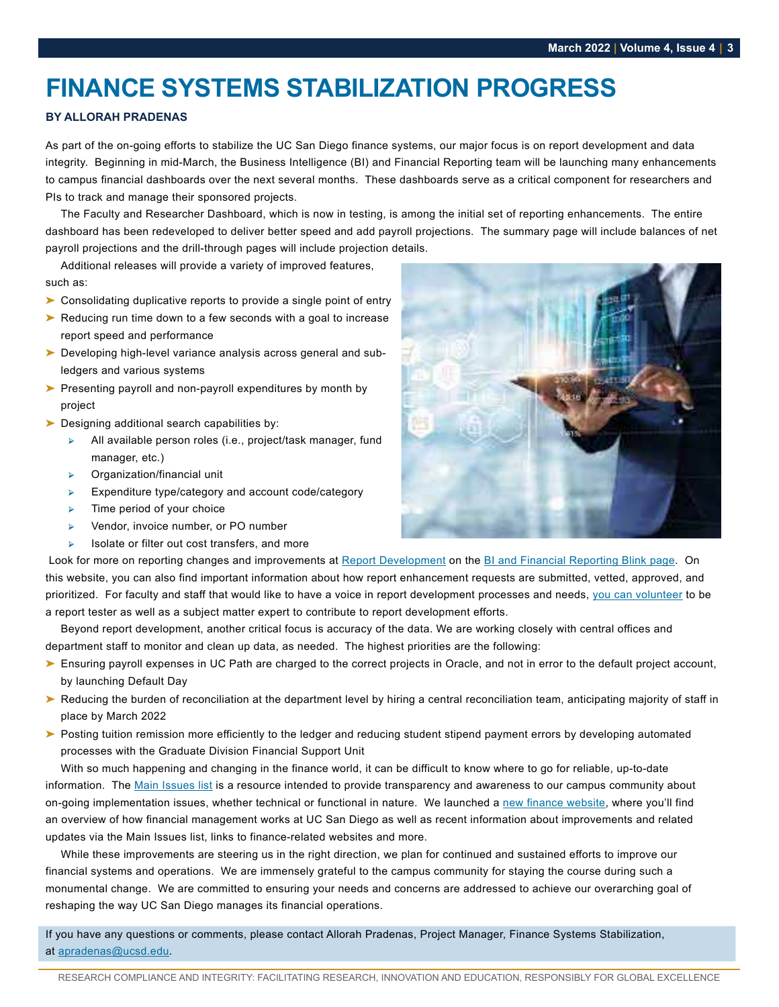# <span id="page-2-0"></span>**FINANCE SYSTEMS STABILIZATION PROGRESS**

### **BY ALLORAH PRADENAS**

As part of the on-going efforts to stabilize the UC San Diego finance systems, our major focus is on report development and data integrity. Beginning in mid-March, the Business Intelligence (BI) and Financial Reporting team will be launching many enhancements to campus financial dashboards over the next several months. These dashboards serve as a critical component for researchers and PIs to track and manage their sponsored projects.

The Faculty and Researcher Dashboard, which is now in testing, is among the initial set of reporting enhancements. The entire dashboard has been redeveloped to deliver better speed and add payroll projections. The summary page will include balances of net payroll projections and the drill-through pages will include projection details.

Additional releases will provide a variety of improved features, such as:

- ➤ Consolidating duplicative reports to provide a single point of entry
- ➤ Reducing run time down to a few seconds with a goal to increase report speed and performance
- ➤ Developing high-level variance analysis across general and subledgers and various systems
- ➤ Presenting payroll and non-payroll expenditures by month by project
- ► Designing additional search capabilities by:
	- All available person roles (i.e., project/task manager, fund manager, etc.)
	- ➢ Organization/financial unit
	- ➢ Expenditure type/category and account code/category
	- Time period of your choice
	- ➢ Vendor, invoice number, or PO number
	- ➢ Isolate or filter out cost transfers, and more



Look for more on reporting changes and improvements at [Report Development](https://blink.ucsd.edu/finance/bi-financial-reporting/report-development.html) on the [BI and Financial Reporting Blink page.](https://blink.ucsd.edu/finance/bi-financial-reporting/index.html) On this website, you can also find important information about how report enhancement requests are submitted, vetted, approved, and prioritized. For faculty and staff that would like to have a voice in report development processes and needs, [you can volunteer](https://ucsd.co1.qualtrics.com/jfe/form/SV_3qnSlR1xwdvtdci) to be a report tester as well as a subject matter expert to contribute to report development efforts.

Beyond report development, another critical focus is accuracy of the data. We are working closely with central offices and department staff to monitor and clean up data, as needed. The highest priorities are the following:

- ► Ensuring payroll expenses in UC Path are charged to the correct projects in Oracle, and not in error to the default project account, by launching Default Day
- ► Reducing the burden of reconciliation at the department level by hiring a central reconciliation team, anticipating majority of staff in place by March 2022
- ► Posting tuition remission more efficiently to the ledger and reducing student stipend payment errors by developing automated processes with the Graduate Division Financial Support Unit

With so much happening and changing in the finance world, it can be difficult to know where to go for reliable, up-to-date information. The [Main Issues list](https://financialmanagement.ucsd.edu/improvements/index.html) is a resource intended to provide transparency and awareness to our campus community about on-going implementation issues, whether technical or functional in nature. We launched a [new finance website](https://financialmanagement.ucsd.edu/), where you'll find an overview of how financial management works at UC San Diego as well as recent information about improvements and related updates via the Main Issues list, links to finance-related websites and more.

While these improvements are steering us in the right direction, we plan for continued and sustained efforts to improve our financial systems and operations. We are immensely grateful to the campus community for staying the course during such a monumental change. We are committed to ensuring your needs and concerns are addressed to achieve our overarching goal of reshaping the way UC San Diego manages its financial operations.

If you have any questions or comments, please contact Allorah Pradenas, Project Manager, Finance Systems Stabilization, at [apradenas@ucsd.edu](mailto:apradenas%40ucsd.edu?subject=).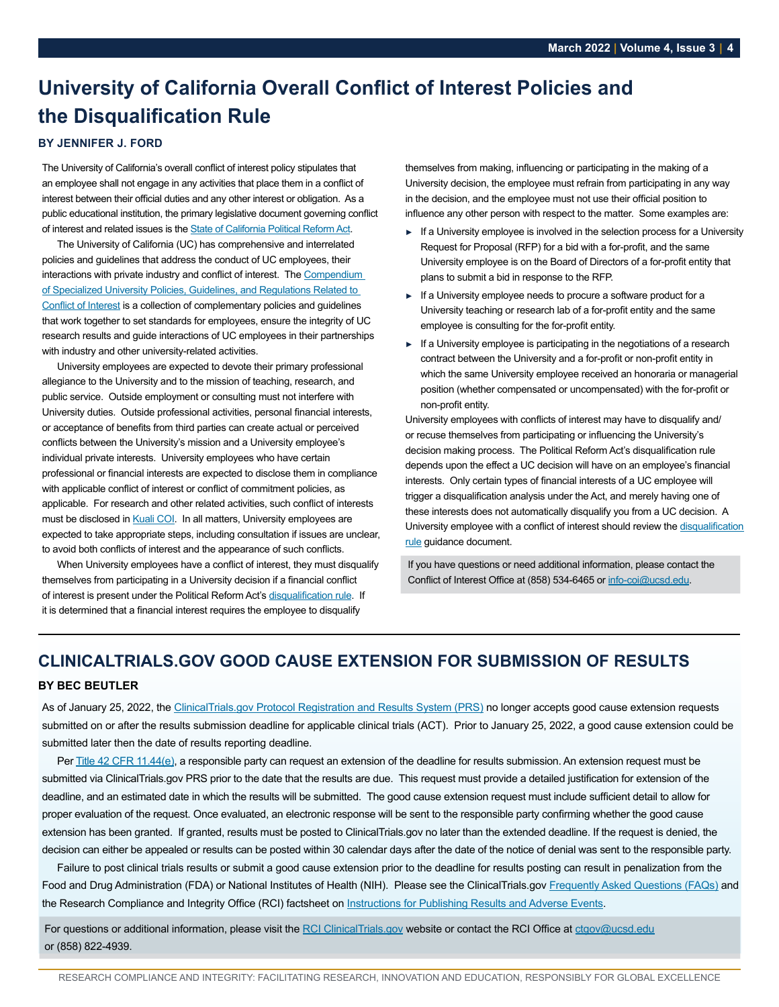# <span id="page-3-0"></span>**University of California Overall Conflict of Interest Policies and the Disqualification Rule**

### **BY JENNIFER J. FORD**

The University of California's overall conflict of interest policy stipulates that an employee shall not engage in any activities that place them in a conflict of interest between their official duties and any other interest or obligation. As a public educational institution, the primary legislative document governing conflict of interest and related issues is the [State of California Political Reform Act](http://www.fppc.ca.gov/the-law/the-political-reform-act.html).

The University of California (UC) has comprehensive and interrelated policies and guidelines that address the conduct of UC employees, their interactions with private industry and conflict of interest. The [Compendium](http://policy.ucop.edu/doc/1220367/BFB-G-39)  [of Specialized University Policies, Guidelines, and Regulations Related to](http://policy.ucop.edu/doc/1220367/BFB-G-39)  [Conflict of Interest](http://policy.ucop.edu/doc/1220367/BFB-G-39) is a collection of complementary policies and guidelines that work together to set standards for employees, ensure the integrity of UC research results and guide interactions of UC employees in their partnerships with industry and other university-related activities.

University employees are expected to devote their primary professional allegiance to the University and to the mission of teaching, research, and public service. Outside employment or consulting must not interfere with University duties. Outside professional activities, personal financial interests, or acceptance of benefits from third parties can create actual or perceived conflicts between the University's mission and a University employee's individual private interests. University employees who have certain professional or financial interests are expected to disclose them in compliance with applicable conflict of interest or conflict of commitment policies, as applicable. For research and other related activities, such conflict of interests must be disclosed in [Kuali COI](https://ucsd.kuali.co/coi). In all matters, University employees are expected to take appropriate steps, including consultation if issues are unclear, to avoid both conflicts of interest and the appearance of such conflicts.

When University employees have a conflict of interest, they must disqualify themselves from participating in a University decision if a financial conflict of interest is present under the Political Reform Act's [disqualification rule](https://www.ucop.edu/uc-legal/_files/coi/disqualification_rule.pdf). If it is determined that a financial interest requires the employee to disqualify

themselves from making, influencing or participating in the making of a University decision, the employee must refrain from participating in any way in the decision, and the employee must not use their official position to influence any other person with respect to the matter. Some examples are:

- **►** If a University employee is involved in the selection process for a University Request for Proposal (RFP) for a bid with a for-profit, and the same University employee is on the Board of Directors of a for-profit entity that plans to submit a bid in response to the RFP.
- **►** If a University employee needs to procure a software product for a University teaching or research lab of a for-profit entity and the same employee is consulting for the for-profit entity.
- **►** If a University employee is participating in the negotiations of a research contract between the University and a for-profit or non-profit entity in which the same University employee received an honoraria or managerial position (whether compensated or uncompensated) with the for-profit or non-profit entity.

University employees with conflicts of interest may have to disqualify and/ or recuse themselves from participating or influencing the University's decision making process. The Political Reform Act's disqualification rule depends upon the effect a UC decision will have on an employee's financial interests. Only certain types of financial interests of a UC employee will trigger a disqualification analysis under the Act, and merely having one of these interests does not automatically disqualify you from a UC decision. A University employee with a conflict of interest should review the [disqualification](https://www.ucop.edu/uc-legal/_files/coi/disqualification_rule.pdf)  [rule](https://www.ucop.edu/uc-legal/_files/coi/disqualification_rule.pdf) guidance document.

If you have questions or need additional information, please contact the Conflict of Interest Office at (858) 534-6465 or [info-coi@ucsd.edu.](mailto:info-coi%40ucsd.edu?subject=)

# **CLINICALTRIALS.GOV GOOD CAUSE EXTENSION FOR SUBMISSION OF RESULTS**

### **BY BEC BEUTLER**

As of January 25, 2022, the [ClinicalTrials.gov Protocol Registration and Results System \(PRS\)](https://register.clinicaltrials.gov/prs/app) no longer accepts good cause extension requests submitted on or after the results submission deadline for applicable clinical trials (ACT). Prior to January 25, 2022, a good cause extension could be submitted later then the date of results reporting deadline.

Per [Title 42 CFR 11.44\(e\),](https://www.ecfr.gov/current/title-42/chapter-I/subchapter-A/part-11#p-11.44(e)) a responsible party can request an extension of the deadline for results submission. An extension request must be submitted via ClinicalTrials.gov PRS prior to the date that the results are due. This request must provide a detailed justification for extension of the deadline, and an estimated date in which the results will be submitted. The good cause extension request must include sufficient detail to allow for proper evaluation of the request. Once evaluated, an electronic response will be sent to the responsible party confirming whether the good cause extension has been granted. If granted, results must be posted to ClinicalTrials.gov no later than the extended deadline. If the request is denied, the decision can either be appealed or results can be posted within 30 calendar days after the date of the notice of denial was sent to the responsible party.

Failure to post clinical trials results or submit a good cause extension prior to the deadline for results posting can result in penalization from the Food and Drug Administration (FDA) or National Institutes of Health (NIH). Please see the ClinicalTrials.gov [Frequently Asked Questions \(FAQs\)](https://www.clinicaltrials.gov/ct2/manage-recs/faq#fr_44) and the Research Compliance and Integrity Office (RCI) factsheet on [Instructions for Publishing Results and Adverse Events](https://blink.ucsd.edu/sponsor/rci/Factsheet-Instructions-for-Publishing-Results_2109132.pdf).

For questions or additional information, please visit the [RCI ClinicalTrials.gov](https://blink.ucsd.edu/sponsor/rci/clinical-trials.html) website or contact the RCI Office at [ctgov@ucsd.edu](mailto:ctgov%40ucsd.edu?subject=) or (858) 822-4939.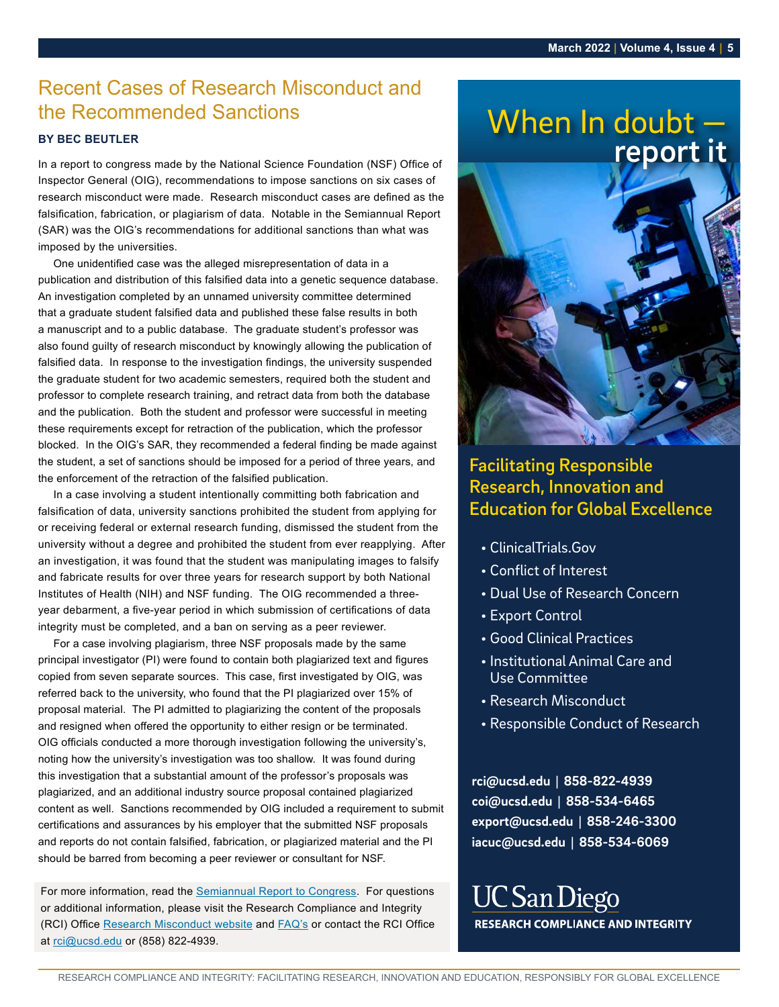# <span id="page-4-0"></span>Recent Cases of Research Misconduct and the Recommended Sanctions

### **BY BEC BEUTLER**

In a report to congress made by the National Science Foundation (NSF) Office of Inspector General (OIG), recommendations to impose sanctions on six cases of research misconduct were made. Research misconduct cases are defined as the falsification, fabrication, or plagiarism of data. Notable in the Semiannual Report (SAR) was the OIG's recommendations for additional sanctions than what was imposed by the universities.

One unidentified case was the alleged misrepresentation of data in a publication and distribution of this falsified data into a genetic sequence database. An investigation completed by an unnamed university committee determined that a graduate student falsified data and published these false results in both a manuscript and to a public database. The graduate student's professor was also found guilty of research misconduct by knowingly allowing the publication of falsified data. In response to the investigation findings, the university suspended the graduate student for two academic semesters, required both the student and professor to complete research training, and retract data from both the database and the publication. Both the student and professor were successful in meeting these requirements except for retraction of the publication, which the professor blocked. In the OIG's SAR, they recommended a federal finding be made against the student, a set of sanctions should be imposed for a period of three years, and the enforcement of the retraction of the falsified publication.

In a case involving a student intentionally committing both fabrication and falsification of data, university sanctions prohibited the student from applying for or receiving federal or external research funding, dismissed the student from the university without a degree and prohibited the student from ever reapplying. After an investigation, it was found that the student was manipulating images to falsify and fabricate results for over three years for research support by both National **Franchised Concerned Concerned** Institutes of Health (NIH) and NSF funding. The OIG recommended a threemstitutes of riearm (nim) and non-funding. The Oro recommended a tillee-<br>year debarment, a five-year period in which submission of certifications of data integrity must be completed, and a ban on serving as a peer reviewer.

For a case involving plagiarism, three NSF proposals made by the same principal investigator (PI) were found to contain both plagiarized text and figures copied from seven separate sources. This case, first investigated by OIG, was referred back to the university, who found that the PI plagiarized over 15% of proposal material. The PI admitted to plagiarizing the content of the proposals **content of the proposals** and resigned when offered the opportunity to either resign or be terminated. and resigned when onered the opportunity to entire resign or be terminated.<br>OIG officials conducted a more thorough investigation following the university's, of onicials conducted a more morough investigation following the university s,<br>noting how the university's investigation was too shallow. It was found during this investigation that a substantial amount of the professor's proposals was plagiarized, and an additional industry source proposal contained plagiarized content as well. Sanctions recommended by OIG included a requirement to submit certifications and assurances by his employer that the submitted NSF proposals and reports do not contain falsified, fabrication, or plagiarized material and the PI should be barred from becoming a peer reviewer or consultant for NSF. **ragianzed over 1978 or**<br>**• Research Misconduct** 

For more information, read the [Semiannual Report to Congress](https://oig.nsf.gov/sites/default/files/reports/2022-01/Final%2520SAR%252065%2520Fall%25202021%2520%2528004%2529.pdf). For questions or additional information, please visit the Research Compliance and Integrity (RCI) Office [Research Misconduct website](https://blink.ucsd.edu/research/policies-compliance-ethics/ethics/index.html) and [FAQ's](https://blink.ucsd.edu/research/policies-compliance-ethics/ethics/faq.html) or contact the RCI Office at [rci@ucsd.edu](mailto:rci%40ucsd.edu?subject=) or (858) 822-4939.

# when in doubt  **report it** report it When In doubt -



# Facilitating Responsible<br>
Research, Innovation and In raprication and<br>Lent from applying for **Education for Global Excellence** Facilitating Responsible

- ClinicalTrials.Gov
- and Use Committee Conflict of Interest
- $\epsilon$   $\epsilon$ • Dual Use of Research Concern<br>————————————————————
- of Research • Export Control
- Good Clinical Practices
- Institutional Animal Care and Use Committee
- 
- Responsible Conduct of Research

**rci@ucsd.edu | 858-822-4939 coi@ucsd.edu | 858-534-6465 export@ucsd.edu | 858-246-3300 iacuc@ucsd.edu | 858-534-6069**

**UC San Diego RESEARCH COMPLIANCE AND INTEGRITY**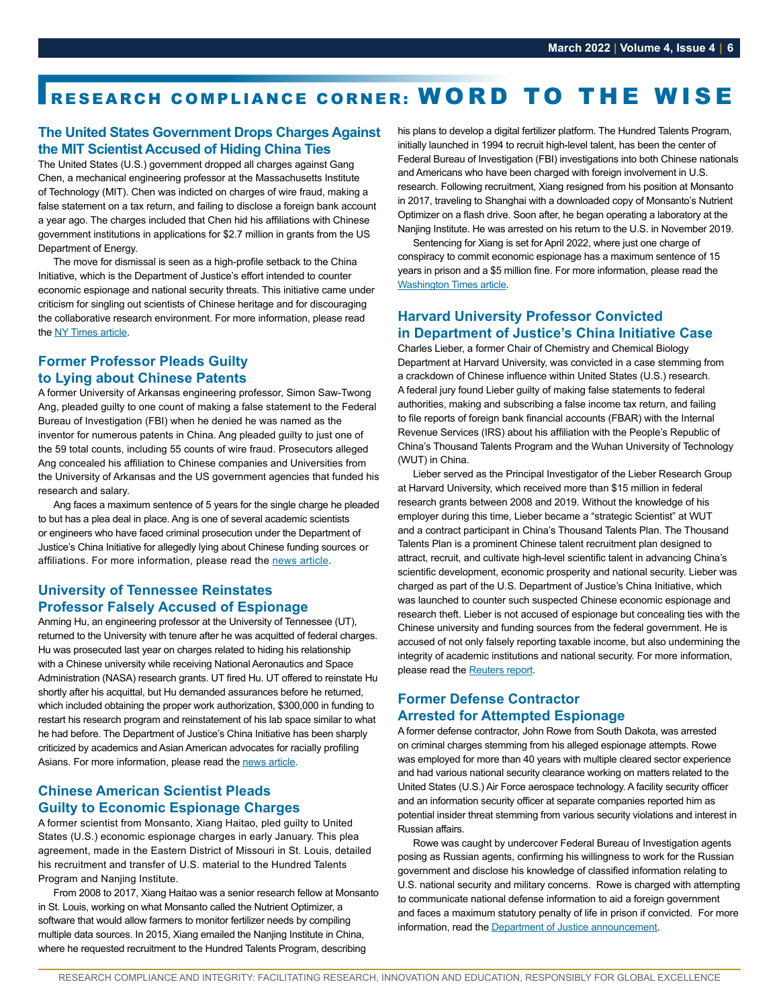# <span id="page-5-0"></span>RESEARCH COMPLIANCE CORNER: WORD TO THE WISE

### **The United States Government Drops Charges Against the MIT Scientist Accused of Hiding China Ties**

The United States (U.S.) government dropped all charges against Gang Chen, a mechanical engineering professor at the Massachusetts Institute of Technology (MIT). Chen was indicted on charges of wire fraud, making a false statement on a tax return, and failing to disclose a foreign bank account a year ago. The charges included that Chen hid his affiliations with Chinese government institutions in applications for \$2.7 million in grants from the US Department of Energy.

The move for dismissal is seen as a high-profile setback to the China Initiative, which is the Department of Justice's effort intended to counter economic espionage and national security threats. This initiative came under criticism for singling out scientists of Chinese heritage and for discouraging the collaborative research environment. For more information, please read the [NY Times article.](https://www.nytimes.com/2022/01/20/science/gang-chen-mit-china-initiative.html?campaign_id=60&emc=edit_na_20220120&instance_id=0&nl=breaking-news&ref=cta®i_id=71616810&segment_id=80250&user_id=066397ba6f981e915686d9475cde6722)

### **Former Professor Pleads Guilty to Lying about Chinese Patents**

A former University of Arkansas engineering professor, Simon Saw-Twong Ang, pleaded guilty to one count of making a false statement to the Federal Bureau of Investigation (FBI) when he denied he was named as the inventor for numerous patents in China. Ang pleaded guilty to just one of the 59 total counts, including 55 counts of wire fraud. Prosecutors alleged Ang concealed his affiliation to Chinese companies and Universities from the University of Arkansas and the US government agencies that funded his research and salary.

Ang faces a maximum sentence of 5 years for the single charge he pleaded to but has a plea deal in place. Ang is one of several academic scientists or engineers who have faced criminal prosecution under the Department of Justice's China Initiative for allegedly lying about Chinese funding sources or affiliations. For more information, please read the [news article](https://www.insidehighered.com/quicktakes/2022/01/24/former-arkansas-prof-pleads-lying-about-chinese-patents).

### **University of Tennessee Reinstates Professor Falsely Accused of Espionage**

Anming Hu, an engineering professor at the University of Tennessee (UT), returned to the University with tenure after he was acquitted of federal charges. Hu was prosecuted last year on charges related to hiding his relationship with a Chinese university while receiving National Aeronautics and Space Administration (NASA) research grants. UT fired Hu. UT offered to reinstate Hu shortly after his acquittal, but Hu demanded assurances before he returned, which included obtaining the proper work authorization, \$300,000 in funding to restart his research program and reinstatement of his lab space similar to what he had before. The Department of Justice's China Initiative has been sharply criticized by academics and Asian American advocates for racially profiling Asians. For more information, please read the [news article](https://www.knoxnews.com/story/news/education/2022/02/03/anming-hu-reinstated-university-of-tennessee-false-espionage-charge/9008950002/).

### **Chinese American Scientist Pleads Guilty to Economic Espionage Charges**

A former scientist from Monsanto, Xiang Haitao, pled guilty to United States (U.S.) economic espionage charges in early January. This plea agreement, made in the Eastern District of Missouri in St. Louis, detailed his recruitment and transfer of U.S. material to the Hundred Talents Program and Nanjing Institute.

From 2008 to 2017, Xiang Haitao was a senior research fellow at Monsanto in St. Louis, working on what Monsanto called the Nutrient Optimizer, a software that would allow farmers to monitor fertilizer needs by compiling multiple data sources. In 2015, Xiang emailed the Nanjing Institute in China, where he requested recruitment to the Hundred Talents Program, describing

his plans to develop a digital fertilizer platform. The Hundred Talents Program, initially launched in 1994 to recruit high-level talent, has been the center of Federal Bureau of Investigation (FBI) investigations into both Chinese nationals and Americans who have been charged with foreign involvement in U.S. research. Following recruitment, Xiang resigned from his position at Monsanto in 2017, traveling to Shanghai with a downloaded copy of Monsanto's Nutrient Optimizer on a flash drive. Soon after, he began operating a laboratory at the Nanjing Institute. He was arrested on his return to the U.S. in November 2019.

Sentencing for Xiang is set for April 2022, where just one charge of conspiracy to commit economic espionage has a maximum sentence of 15 years in prison and a \$5 million fine. For more information, please read the [Washington Times article.](https://www.washingtontimes.com/news/2022/jan/7/convicted-chinese-scientist-was-recruited-beijings/)

### **Harvard University Professor Convicted in Department of Justice's China Initiative Case**

Charles Lieber, a former Chair of Chemistry and Chemical Biology Department at Harvard University, was convicted in a case stemming from a crackdown of Chinese influence within United States (U.S.) research. A federal jury found Lieber guilty of making false statements to federal authorities, making and subscribing a false income tax return, and failing to file reports of foreign bank financial accounts (FBAR) with the Internal Revenue Services (IRS) about his affiliation with the People's Republic of China's Thousand Talents Program and the Wuhan University of Technology (WUT) in China.

Lieber served as the Principal Investigator of the Lieber Research Group at Harvard University, which received more than \$15 million in federal research grants between 2008 and 2019. Without the knowledge of his employer during this time, Lieber became a "strategic Scientist" at WUT and a contract participant in China's Thousand Talents Plan. The Thousand Talents Plan is a prominent Chinese talent recruitment plan designed to attract, recruit, and cultivate high-level scientific talent in advancing China's scientific development, economic prosperity and national security. Lieber was charged as part of the U.S. Department of Justice's China Initiative, which was launched to counter such suspected Chinese economic espionage and research theft. Lieber is not accused of espionage but concealing ties with the Chinese university and funding sources from the federal government. He is accused of not only falsely reporting taxable income, but also undermining the integrity of academic institutions and national security. For more information, please read the [Reuters report.](https://www.reuters.com/legal/litigation/harvard-professor-lied-about-china-ties-us-jury-told-trial-nears-end-2021-12-21/)

### **Former Defense Contractor Arrested for Attempted Espionage**

A former defense contractor, John Rowe from South Dakota, was arrested on criminal charges stemming from his alleged espionage attempts. Rowe was employed for more than 40 years with multiple cleared sector experience and had various national security clearance working on matters related to the United States (U.S.) Air Force aerospace technology. A facility security officer and an information security officer at separate companies reported him as potential insider threat stemming from various security violations and interest in Russian affairs.

Rowe was caught by undercover Federal Bureau of Investigation agents posing as Russian agents, confirming his willingness to work for the Russian government and disclose his knowledge of classified information relating to U.S. national security and military concerns. Rowe is charged with attempting to communicate national defense information to aid a foreign government and faces a maximum statutory penalty of life in prison if convicted. For more information, read the [Department of Justice announcement.](https://www.justice.gov/opa/pr/former-defense-contractor-arrested-attempted-espionage)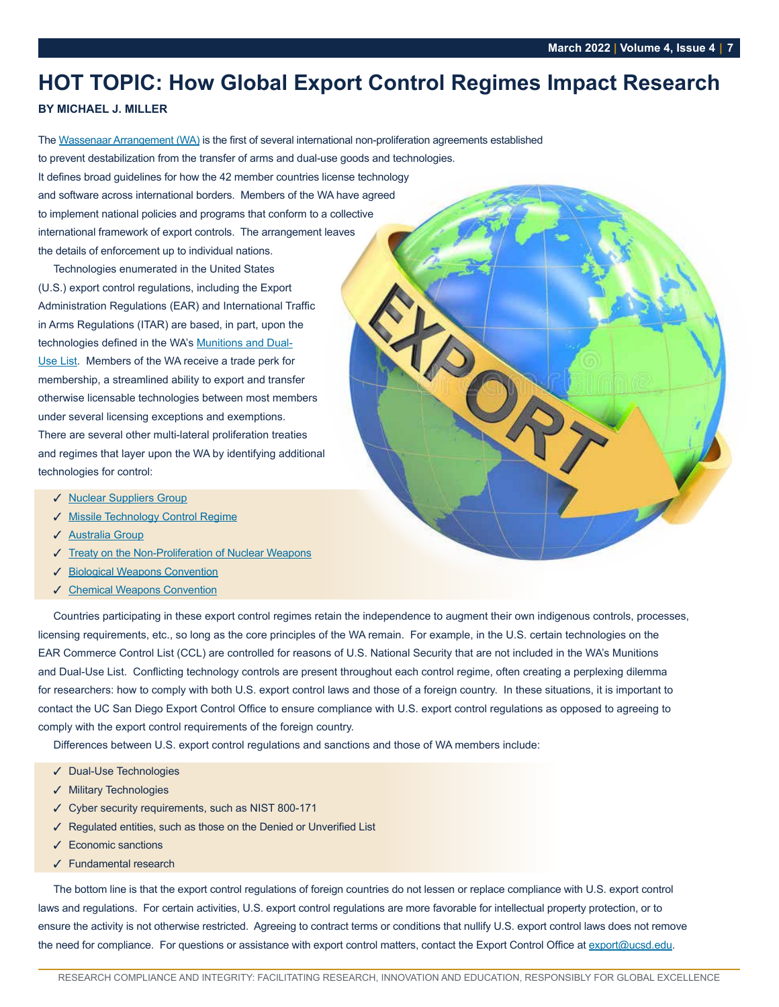# <span id="page-6-0"></span>**HOT TOPIC: How Global Export Control Regimes Impact Research**

### **BY MICHAEL J. MILLER**

The [Wassenaar Arrangement \(WA\)](https://www.wassenaar.org/) is the first of several international non-proliferation agreements established to prevent destabilization from the transfer of arms and dual-use goods and technologies. It defines broad guidelines for how the 42 member countries license technology and software across international borders. Members of the WA have agreed to implement national policies and programs that conform to a collective international framework of export controls. The arrangement leaves

Technologies enumerated in the United States (U.S.) export control regulations, including the Export Administration Regulations (EAR) and International Traffic in Arms Regulations (ITAR) are based, in part, upon the technologies defined in the WA's [Munitions and Dual-](https://www.wassenaar.org/control-lists/)[Use List.](https://www.wassenaar.org/control-lists/) Members of the WA receive a trade perk for membership, a streamlined ability to export and transfer otherwise licensable technologies between most members under several licensing exceptions and exemptions. There are several other multi-lateral proliferation treaties and regimes that layer upon the WA by identifying additional technologies for control:

the details of enforcement up to individual nations.

- ✓ [Nuclear Suppliers Group](http://www.nuclearsuppliersgroup.org/)
- ✓ [Missile Technology Control Regime](http://www.mtcr.info/)
- ✓ [Australia Group](http://www.australiagroup.net/)
- ✓ [Treaty on the Non-Proliferation of Nuclear Weapons](https://www.un.org/disarmament/wmd/nuclear/npt/)
- ✓ [Biological Weapons Convention](https://www.state.gov/biological-weapons-convention-text/)
- ✓ [Chemical Weapons Convention](https://www.opcw.org/chemical-weapons-convention)

Countries participating in these export control regimes retain the independence to augment their own indigenous controls, processes, licensing requirements, etc., so long as the core principles of the WA remain. For example, in the U.S. certain technologies on the EAR Commerce Control List (CCL) are controlled for reasons of U.S. National Security that are not included in the WA's Munitions and Dual-Use List. Conflicting technology controls are present throughout each control regime, often creating a perplexing dilemma for researchers: how to comply with both U.S. export control laws and those of a foreign country. In these situations, it is important to contact the UC San Diego Export Control Office to ensure compliance with U.S. export control regulations as opposed to agreeing to comply with the export control requirements of the foreign country.

Differences between U.S. export control regulations and sanctions and those of WA members include:

- ✓ Dual-Use Technologies
- ✓ Military Technologies
- ✓ Cyber security requirements, such as NIST 800-171
- ✓ Regulated entities, such as those on the Denied or Unverified List
- ✓ Economic sanctions
- ✓ Fundamental research

The bottom line is that the export control regulations of foreign countries do not lessen or replace compliance with U.S. export control laws and regulations. For certain activities, U.S. export control regulations are more favorable for intellectual property protection, or to ensure the activity is not otherwise restricted. Agreeing to contract terms or conditions that nullify U.S. export control laws does not remove the need for compliance. For questions or assistance with export control matters, contact the Export Control Office at [export@ucsd.edu.](mailto:export%40ucsd.edu?subject=)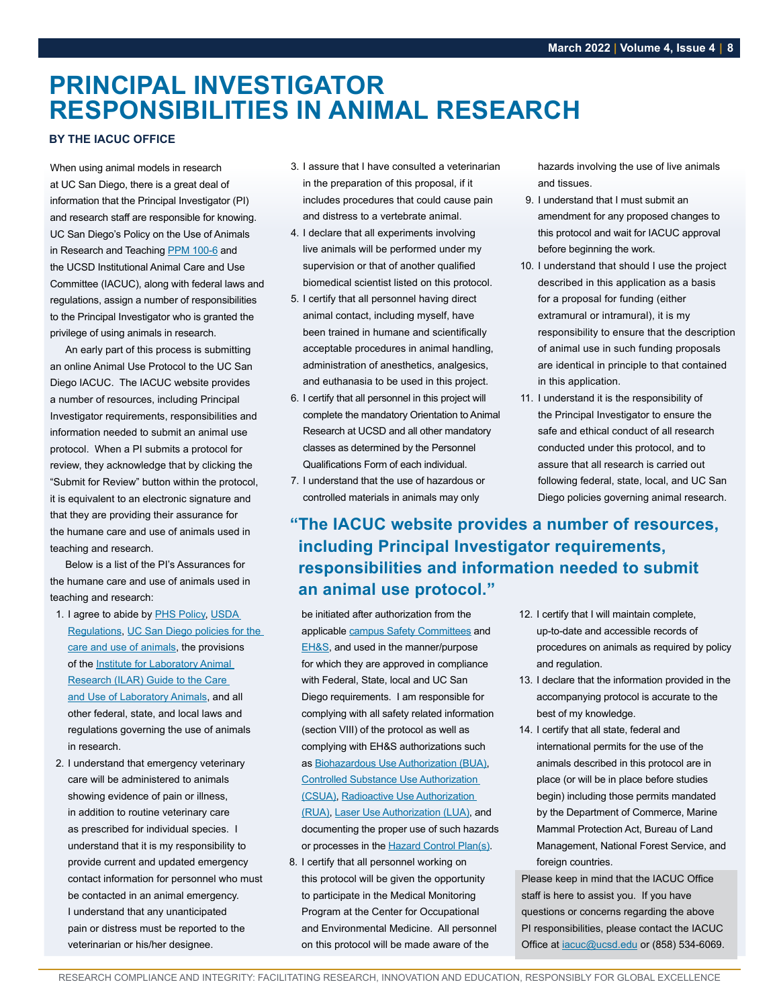# <span id="page-7-0"></span>**PRINCIPAL INVESTIGATOR RESPONSIBILITIES IN ANIMAL RESEARCH**

### **BY THE IACUC OFFICE**

When using animal models in research at UC San Diego, there is a great deal of information that the Principal Investigator (PI) and research staff are responsible for knowing. UC San Diego's Policy on the Use of Animals in Research and Teaching [PPM 100-6](https://adminrecords.ucsd.edu/ppm/docs/100-6.pdf) and the UCSD Institutional Animal Care and Use Committee (IACUC), along with federal laws and regulations, assign a number of responsibilities to the Principal Investigator who is granted the privilege of using animals in research.

An early part of this process is submitting an online Animal Use Protocol to the UC San Diego IACUC. The IACUC website provides a number of resources, including Principal Investigator requirements, responsibilities and information needed to submit an animal use protocol. When a PI submits a protocol for review, they acknowledge that by clicking the "Submit for Review" button within the protocol, it is equivalent to an electronic signature and that they are providing their assurance for the humane care and use of animals used in teaching and research.

Below is a list of the PI's Assurances for the humane care and use of animals used in teaching and research:

- 1. I agree to abide by [PHS Policy](https://olaw.nih.gov/policies-laws/phs-policy.htm), [USDA](https://blink.ucsd.edu/sponsor/iacuc/_files/AC_BlueBook_AWA_508_comp_version.pdf)  [Regulations,](https://blink.ucsd.edu/sponsor/iacuc/_files/AC_BlueBook_AWA_508_comp_version.pdf) [UC San Diego policies for the](https://blink.ucsd.edu/sponsor/iacuc/policies.html)  [care and use of animals](https://blink.ucsd.edu/sponsor/iacuc/policies.html), the provisions of the **Institute for Laboratory Animal** [Research \(ILAR\) Guide to the Care](https://blink.ucsd.edu/_files/sponsor-tab/iacuc/Guide-for-the-care-and-use-of-laboratory-animals.pdf)  [and Use of Laboratory Animals,](https://blink.ucsd.edu/_files/sponsor-tab/iacuc/Guide-for-the-care-and-use-of-laboratory-animals.pdf) and all other federal, state, and local laws and regulations governing the use of animals in research.
- 2. I understand that emergency veterinary care will be administered to animals showing evidence of pain or illness, in addition to routine veterinary care as prescribed for individual species. I understand that it is my responsibility to provide current and updated emergency contact information for personnel who must be contacted in an animal emergency. I understand that any unanticipated pain or distress must be reported to the veterinarian or his/her designee.
- 3. I assure that I have consulted a veterinarian in the preparation of this proposal, if it includes procedures that could cause pain and distress to a vertebrate animal.
- 4. I declare that all experiments involving live animals will be performed under my supervision or that of another qualified biomedical scientist listed on this protocol.
- 5. I certify that all personnel having direct animal contact, including myself, have been trained in humane and scientifically acceptable procedures in animal handling, administration of anesthetics, analgesics, and euthanasia to be used in this project.
- 6. I certify that all personnel in this project will complete the mandatory Orientation to Animal Research at UCSD and all other mandatory classes as determined by the Personnel Qualifications Form of each individual.
- 7. I understand that the use of hazardous or controlled materials in animals may only

hazards involving the use of live animals and tissues.

- 9. I understand that I must submit an amendment for any proposed changes to this protocol and wait for IACUC approval before beginning the work.
- 10. I understand that should I use the project described in this application as a basis for a proposal for funding (either extramural or intramural), it is my responsibility to ensure that the description of animal use in such funding proposals are identical in principle to that contained in this application.
- 11. I understand it is the responsibility of the Principal Investigator to ensure the safe and ethical conduct of all research conducted under this protocol, and to assure that all research is carried out following federal, state, local, and UC San Diego policies governing animal research.

# **"The IACUC website provides a number of resources, including Principal Investigator requirements, responsibilities and information needed to submit an animal use protocol."**

be initiated after authorization from the applicable [campus Safety Committees](https://rmp.ucsd.edu/about/committees/index.html) and [EH&S,](https://blink.ucsd.edu/safety/ehs/index.html) and used in the manner/purpose for which they are approved in compliance with Federal, State, local and UC San Diego requirements. I am responsible for complying with all safety related information (section VIII) of the protocol as well as complying with EH&S authorizations such as [Biohazardous Use Authorization \(BUA\),](https://blink.ucsd.edu/safety/research-lab/biosafety/BUA.html) [Controlled Substance Use Authorization](https://blink.ucsd.edu/safety/research-lab/controlled-substances/CSUA.html)  [\(CSUA\)](https://blink.ucsd.edu/safety/research-lab/controlled-substances/CSUA.html), [Radioactive Use Authorization](https://blink.ucsd.edu/safety/radiation/research/RUA/index.html)  [\(RUA\)](https://blink.ucsd.edu/safety/radiation/research/RUA/index.html), [Laser Use Authorization \(LUA\)](https://blink.ucsd.edu/safety/radiation/lasers/LUA.html), and documenting the proper use of such hazards or processes in the [Hazard Control Plan\(s\).](https://blink.ucsd.edu/safety/research-lab/chemical/hcp/index.html)

 8. I certify that all personnel working on this protocol will be given the opportunity to participate in the Medical Monitoring Program at the Center for Occupational and Environmental Medicine. All personnel on this protocol will be made aware of the

- 12. I certify that I will maintain complete, up-to-date and accessible records of procedures on animals as required by policy and regulation.
- 13. I declare that the information provided in the accompanying protocol is accurate to the best of my knowledge.
- 14. I certify that all state, federal and international permits for the use of the animals described in this protocol are in place (or will be in place before studies begin) including those permits mandated by the Department of Commerce, Marine Mammal Protection Act, Bureau of Land Management, National Forest Service, and foreign countries.

Please keep in mind that the IACUC Office staff is here to assist you. If you have questions or concerns regarding the above PI responsibilities, please contact the IACUC Office at **jacuc@ucsd.edu** or (858) 534-6069.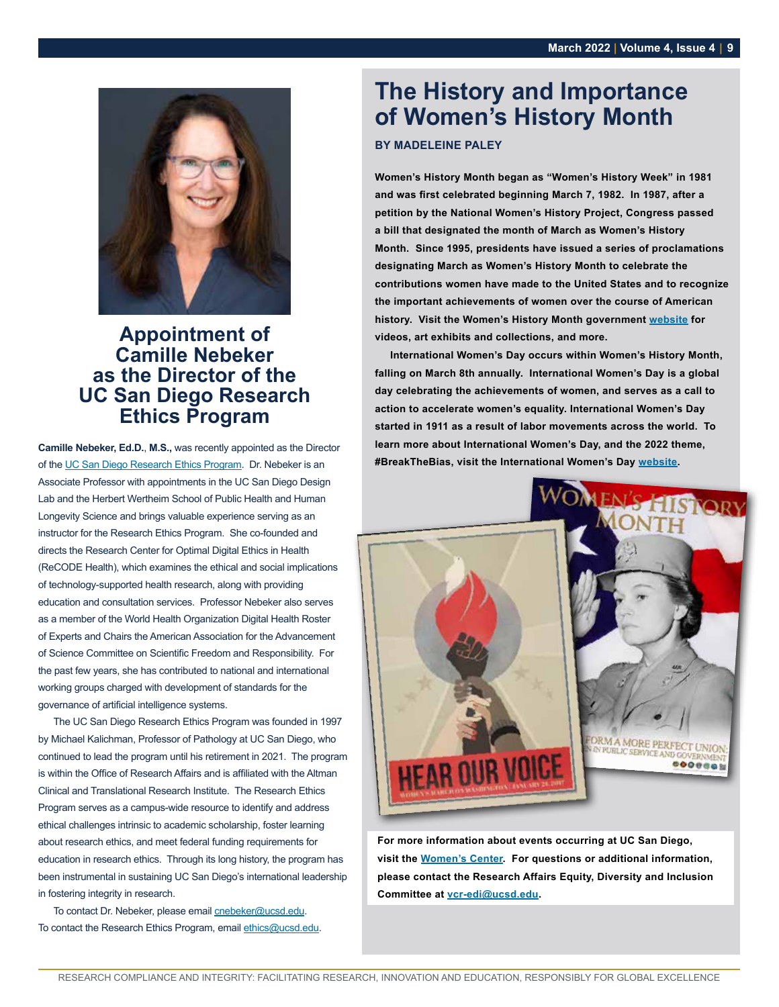<span id="page-8-0"></span>

# **Appointment of Camille Nebeker as the Director of the UC San Diego Research Ethics Program**

**Camille Nebeker, Ed.D.**, **M.S.,** was recently appointed as the Director of the [UC San Diego Research Ethics Program.](https://ethics.ucsd.edu/) Dr. Nebeker is an Associate Professor with appointments in the UC San Diego Design Lab and the Herbert Wertheim School of Public Health and Human Longevity Science and brings valuable experience serving as an instructor for the Research Ethics Program. She co-founded and directs the Research Center for Optimal Digital Ethics in Health (ReCODE Health), which examines the ethical and social implications of technology-supported health research, along with providing education and consultation services. Professor Nebeker also serves as a member of the World Health Organization Digital Health Roster of Experts and Chairs the American Association for the Advancement of Science Committee on Scientific Freedom and Responsibility. For the past few years, she has contributed to national and international working groups charged with development of standards for the governance of artificial intelligence systems.

The UC San Diego Research Ethics Program was founded in 1997 by Michael Kalichman, Professor of Pathology at UC San Diego, who continued to lead the program until his retirement in 2021. The program is within the Office of Research Affairs and is affiliated with the Altman Clinical and Translational Research Institute. The Research Ethics Program serves as a campus-wide resource to identify and address ethical challenges intrinsic to academic scholarship, foster learning about research ethics, and meet federal funding requirements for education in research ethics. Through its long history, the program has been instrumental in sustaining UC San Diego's international leadership in fostering integrity in research.

To contact Dr. Nebeker, please email [cnebeker@ucsd.edu](mailto:cnebeker%40ucsd.edu?subject=). To contact the Research Ethics Program, email [ethics@ucsd.edu.](mailto:ethics%40ucsd.edu?subject=)

# **The History and Importance of Women's History Month**

### **BY MADELEINE PALEY**

**Women's History Month began as "Women's History Week" in 1981 and was first celebrated beginning March 7, 1982. In 1987, after a petition by the National Women's History Project, Congress passed a bill that designated the month of March as Women's History Month. Since 1995, presidents have issued a series of proclamations designating March as Women's History Month to celebrate the contributions women have made to the United States and to recognize the important achievements of women over the course of American history. Visit the Women's History Month government [website](https://womenshistorymonth.gov/) for videos, art exhibits and collections, and more.**

**International Women's Day occurs within Women's History Month, falling on March 8th annually. International Women's Day is a global day celebrating the achievements of women, and serves as a call to action to accelerate women's equality. International Women's Day started in 1911 as a result of labor movements across the world. To learn more about International Women's Day, and the 2022 theme, #BreakTheBias, visit the International Women's Day [website.](https://www.internationalwomensday.com/)**



**For more information about events occurring at UC San Diego, visit the [Women's Center](https://women.ucsd.edu/). For questions or additional information, please contact the Research Affairs Equity, Diversity and Inclusion Committee at [vcr-edi@ucsd.edu](mailto:vcr-edi%40ucsd.edu?subject=).**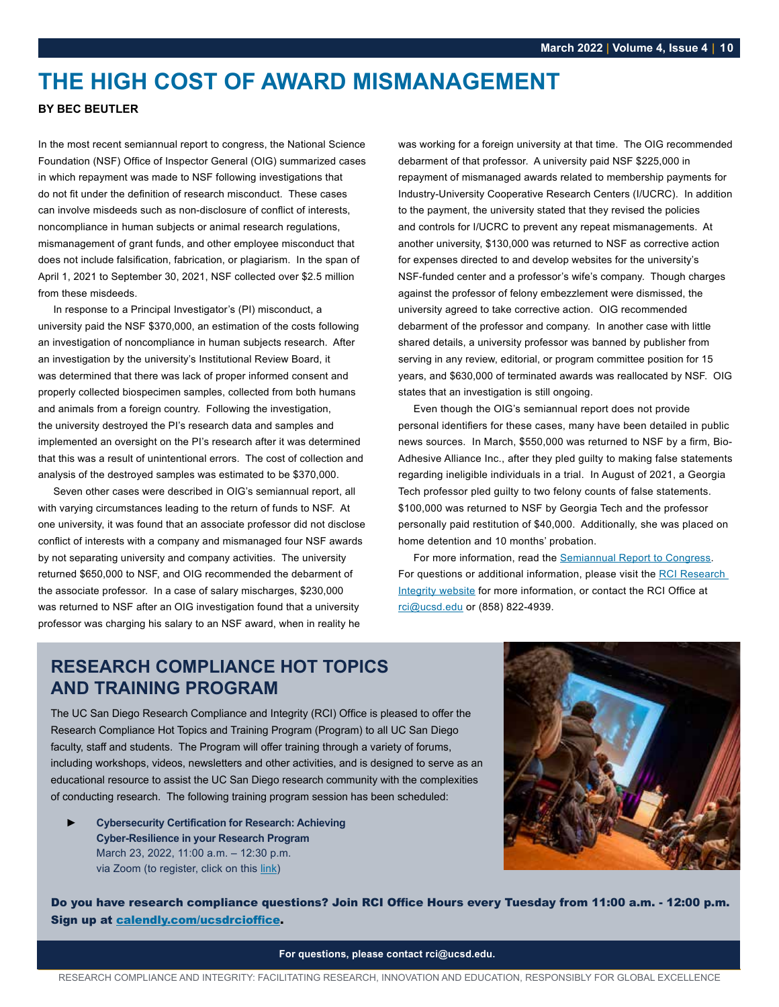# <span id="page-9-0"></span>**THE HIGH COST OF AWARD MISMANAGEMENT**

### **BY BEC BEUTLER**

In the most recent semiannual report to congress, the National Science Foundation (NSF) Office of Inspector General (OIG) summarized cases in which repayment was made to NSF following investigations that do not fit under the definition of research misconduct. These cases can involve misdeeds such as non-disclosure of conflict of interests, noncompliance in human subjects or animal research regulations, mismanagement of grant funds, and other employee misconduct that does not include falsification, fabrication, or plagiarism. In the span of April 1, 2021 to September 30, 2021, NSF collected over \$2.5 million from these misdeeds.

In response to a Principal Investigator's (PI) misconduct, a university paid the NSF \$370,000, an estimation of the costs following an investigation of noncompliance in human subjects research. After an investigation by the university's Institutional Review Board, it was determined that there was lack of proper informed consent and properly collected biospecimen samples, collected from both humans and animals from a foreign country. Following the investigation, the university destroyed the PI's research data and samples and implemented an oversight on the PI's research after it was determined that this was a result of unintentional errors. The cost of collection and analysis of the destroyed samples was estimated to be \$370,000.

Seven other cases were described in OIG's semiannual report, all with varying circumstances leading to the return of funds to NSF. At one university, it was found that an associate professor did not disclose conflict of interests with a company and mismanaged four NSF awards by not separating university and company activities. The university returned \$650,000 to NSF, and OIG recommended the debarment of the associate professor. In a case of salary mischarges, \$230,000 was returned to NSF after an OIG investigation found that a university professor was charging his salary to an NSF award, when in reality he

was working for a foreign university at that time. The OIG recommended debarment of that professor. A university paid NSF \$225,000 in repayment of mismanaged awards related to membership payments for Industry-University Cooperative Research Centers (I/UCRC). In addition to the payment, the university stated that they revised the policies and controls for I/UCRC to prevent any repeat mismanagements. At another university, \$130,000 was returned to NSF as corrective action for expenses directed to and develop websites for the university's NSF-funded center and a professor's wife's company. Though charges against the professor of felony embezzlement were dismissed, the university agreed to take corrective action. OIG recommended debarment of the professor and company. In another case with little shared details, a university professor was banned by publisher from serving in any review, editorial, or program committee position for 15 years, and \$630,000 of terminated awards was reallocated by NSF. OIG states that an investigation is still ongoing.

Even though the OIG's semiannual report does not provide personal identifiers for these cases, many have been detailed in public news sources. In March, \$550,000 was returned to NSF by a firm, Bio-Adhesive Alliance Inc., after they pled guilty to making false statements regarding ineligible individuals in a trial. In August of 2021, a Georgia Tech professor pled guilty to two felony counts of false statements. \$100,000 was returned to NSF by Georgia Tech and the professor personally paid restitution of \$40,000. Additionally, she was placed on home detention and 10 months' probation.

For more information, read the [Semiannual Report to Congress.](https://oig.nsf.gov/sites/default/files/reports/2022-01/Final%2520SAR%252065%2520Fall%25202021%2520%2528004%2529.pdf) For questions or additional information, please visit the RCI Research [Integrity website](https://blink.ucsd.edu/research/policies-compliance-ethics/ethics/index.html) for more information, or contact the RCI Office at [rci@ucsd.edu](mailto:rci%40ucsd.edu?subject=) or (858) 822-4939.

# **RESEARCH COMPLIANCE HOT TOPICS AND TRAINING PROGRAM**

The UC San Diego Research Compliance and Integrity (RCI) Office is pleased to offer the Research Compliance Hot Topics and Training Program (Program) to all UC San Diego faculty, staff and students. The Program will offer training through a variety of forums, including workshops, videos, newsletters and other activities, and is designed to serve as an educational resource to assist the UC San Diego research community with the complexities of conducting research. The following training program session has been scheduled:

► **Cybersecurity Certification for Research: Achieving Cyber-Resilience in your Research Program**  March 23, 2022, 11:00 a.m. – 12:30 p.m. via Zoom (to register, click on this [link\)](https://uc.sumtotal.host/rcore/c/pillarRedirect?relyingParty=LM&url=app%2fmanagement%2fLMS_ActDetails.aspx%3fActivityId%3d506014%26UserMode%3d0)



Do you have research compliance questions? Join RCI Office Hours every Tuesday from 11:00 a.m. - 12:00 p.m. Sign up at [calendly.com/ucsdrcioffice](https://calendly.com/ucsdrcioffice).

**For questions, please contact rci@ucsd.edu.**